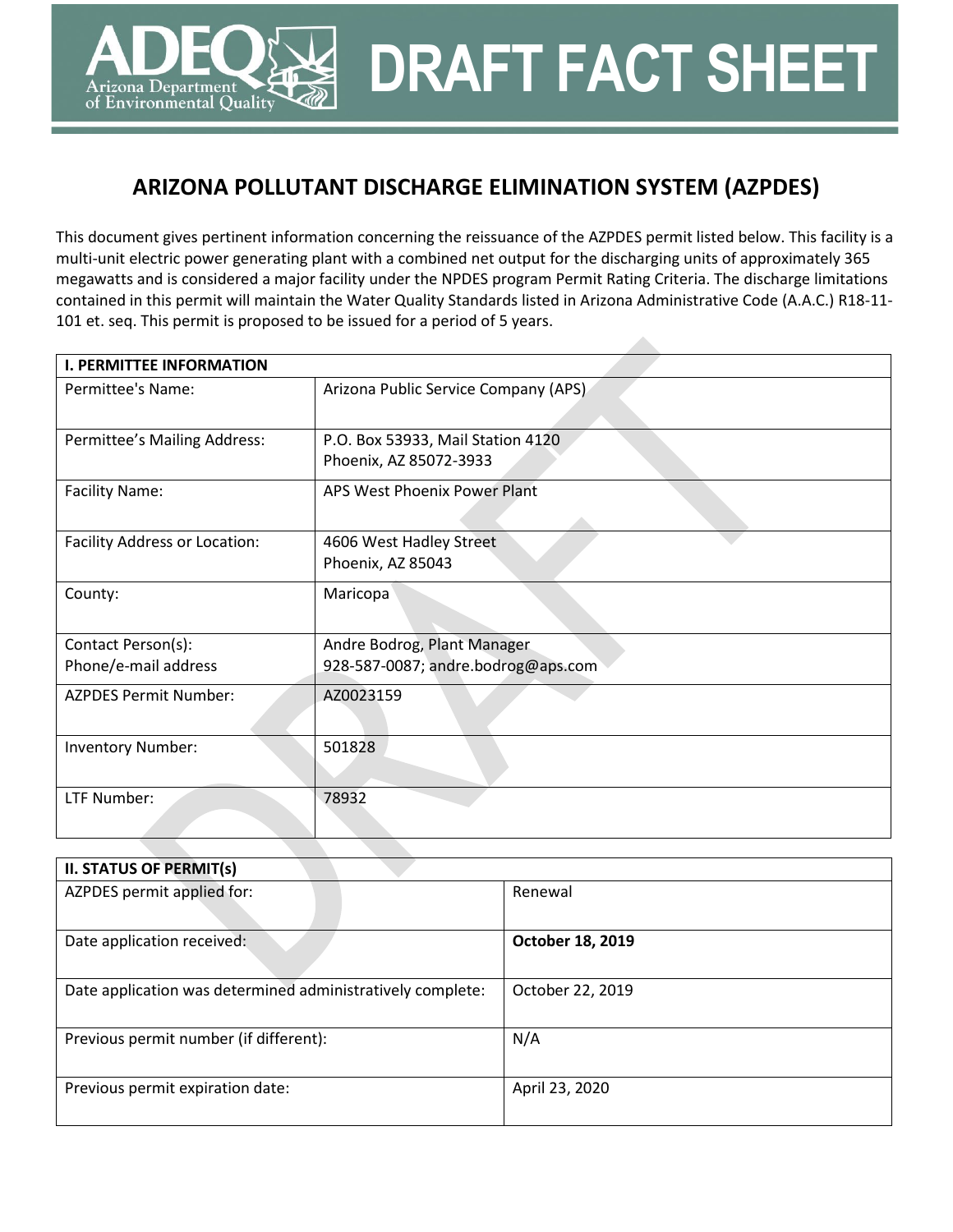# **ARIZONA POLLUTANT DISCHARGE ELIMINATION SYSTEM (AZPDES)**

rizona Department، of Environmental Quality **DRAFT FACT SHEET**

This document gives pertinent information concerning the reissuance of the AZPDES permit listed below. This facility is a multi-unit electric power generating plant with a combined net output for the discharging units of approximately 365 megawatts and is considered a major facility under the NPDES program Permit Rating Criteria. The discharge limitations contained in this permit will maintain the Water Quality Standards listed in Arizona Administrative Code (A.A.C.) R18-11- 101 et. seq. This permit is proposed to be issued for a period of 5 years.

| <b>I. PERMITTEE INFORMATION</b>            |                                                                   |  |
|--------------------------------------------|-------------------------------------------------------------------|--|
| Permittee's Name:                          | Arizona Public Service Company (APS)                              |  |
| Permittee's Mailing Address:               | P.O. Box 53933, Mail Station 4120<br>Phoenix, AZ 85072-3933       |  |
| <b>Facility Name:</b>                      | APS West Phoenix Power Plant                                      |  |
| Facility Address or Location:              | 4606 West Hadley Street<br>Phoenix, AZ 85043                      |  |
| County:                                    | Maricopa                                                          |  |
| Contact Person(s):<br>Phone/e-mail address | Andre Bodrog, Plant Manager<br>928-587-0087; andre.bodrog@aps.com |  |
| <b>AZPDES Permit Number:</b>               | AZ0023159                                                         |  |
| <b>Inventory Number:</b>                   | 501828                                                            |  |
| LTF Number:                                | 78932                                                             |  |

| <b>II. STATUS OF PERMIT(s)</b>                             |                  |
|------------------------------------------------------------|------------------|
| AZPDES permit applied for:                                 | Renewal          |
|                                                            |                  |
| Date application received:                                 | October 18, 2019 |
|                                                            |                  |
| Date application was determined administratively complete: | October 22, 2019 |
|                                                            |                  |
| Previous permit number (if different):                     | N/A              |
|                                                            |                  |
| Previous permit expiration date:                           | April 23, 2020   |
|                                                            |                  |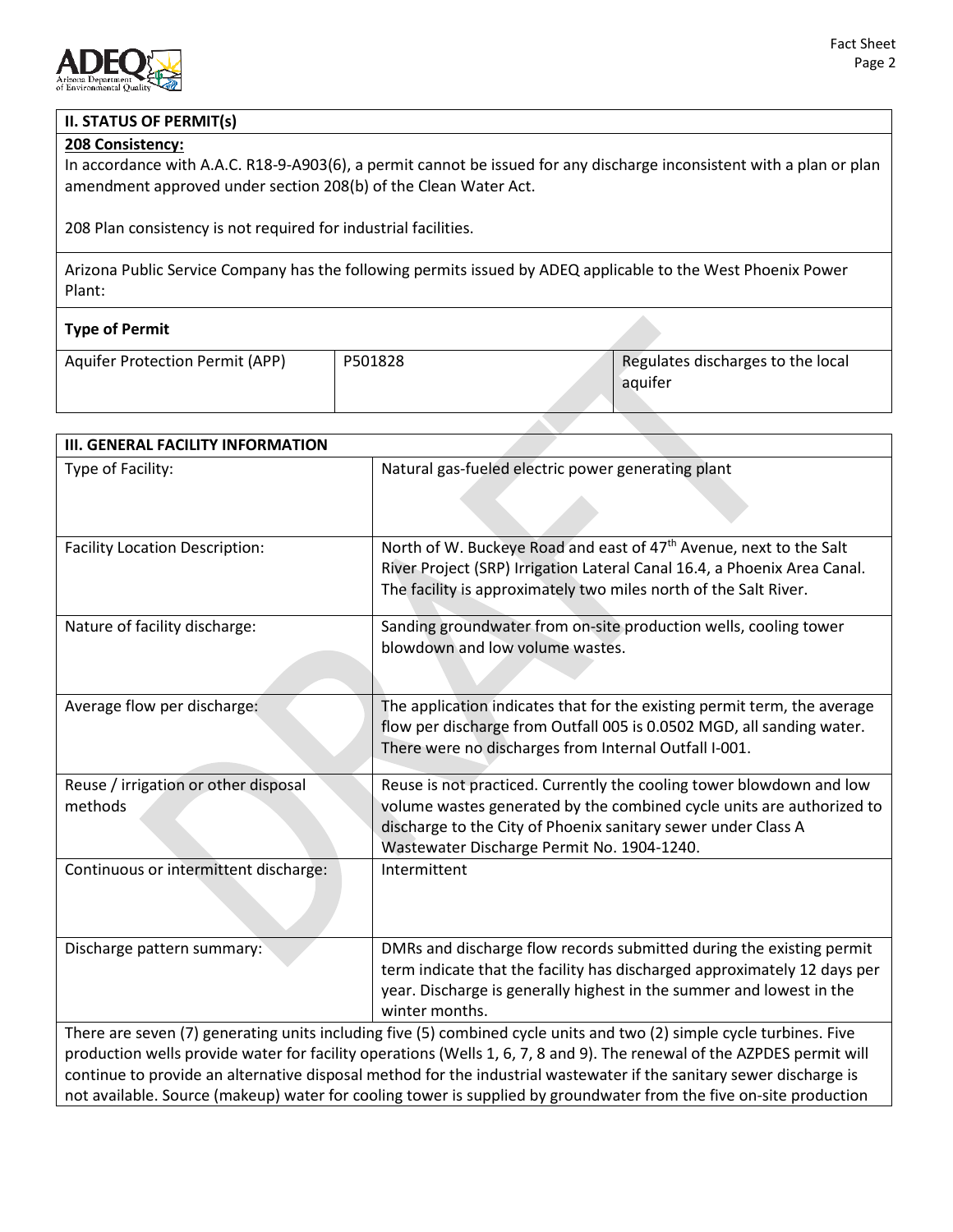

## **II. STATUS OF PERMIT(s)**

#### **208 Consistency:**

In accordance with A.A.C. R18-9-A903(6), a permit cannot be issued for any discharge inconsistent with a plan or plan amendment approved under section 208(b) of the Clean Water Act.

208 Plan consistency is not required for industrial facilities.

Arizona Public Service Company has the following permits issued by ADEQ applicable to the West Phoenix Power Plant:

| <b>Type of Permit</b>                  |         |                                              |
|----------------------------------------|---------|----------------------------------------------|
| <b>Aquifer Protection Permit (APP)</b> | P501828 | Regulates discharges to the local<br>aquifer |

| <b>III. GENERAL FACILITY INFORMATION</b>        |                                                                                                                                                                                                                                                              |  |
|-------------------------------------------------|--------------------------------------------------------------------------------------------------------------------------------------------------------------------------------------------------------------------------------------------------------------|--|
| Type of Facility:                               | Natural gas-fueled electric power generating plant                                                                                                                                                                                                           |  |
|                                                 |                                                                                                                                                                                                                                                              |  |
| <b>Facility Location Description:</b>           | North of W. Buckeye Road and east of 47th Avenue, next to the Salt<br>River Project (SRP) Irrigation Lateral Canal 16.4, a Phoenix Area Canal.<br>The facility is approximately two miles north of the Salt River.                                           |  |
| Nature of facility discharge:                   | Sanding groundwater from on-site production wells, cooling tower<br>blowdown and low volume wastes.                                                                                                                                                          |  |
| Average flow per discharge:                     | The application indicates that for the existing permit term, the average<br>flow per discharge from Outfall 005 is 0.0502 MGD, all sanding water.<br>There were no discharges from Internal Outfall I-001.                                                   |  |
| Reuse / irrigation or other disposal<br>methods | Reuse is not practiced. Currently the cooling tower blowdown and low<br>volume wastes generated by the combined cycle units are authorized to<br>discharge to the City of Phoenix sanitary sewer under Class A<br>Wastewater Discharge Permit No. 1904-1240. |  |
| Continuous or intermittent discharge:           | Intermittent                                                                                                                                                                                                                                                 |  |
| Discharge pattern summary:                      | DMRs and discharge flow records submitted during the existing permit<br>term indicate that the facility has discharged approximately 12 days per<br>year. Discharge is generally highest in the summer and lowest in the<br>winter months.                   |  |
|                                                 | There are seven (7) generating units including five (5) combined cycle units and two (2) simple cycle turbines. Five                                                                                                                                         |  |
|                                                 | production wells provide water for facility operations (Wells 1, 6, 7, 8 and 9). The renewal of the AZPDES permit will<br>continue to provide an alternative disposal method for the industrial wastewater if the sanitary sewer discharge is                |  |

not available. Source (makeup) water for cooling tower is supplied by groundwater from the five on-site production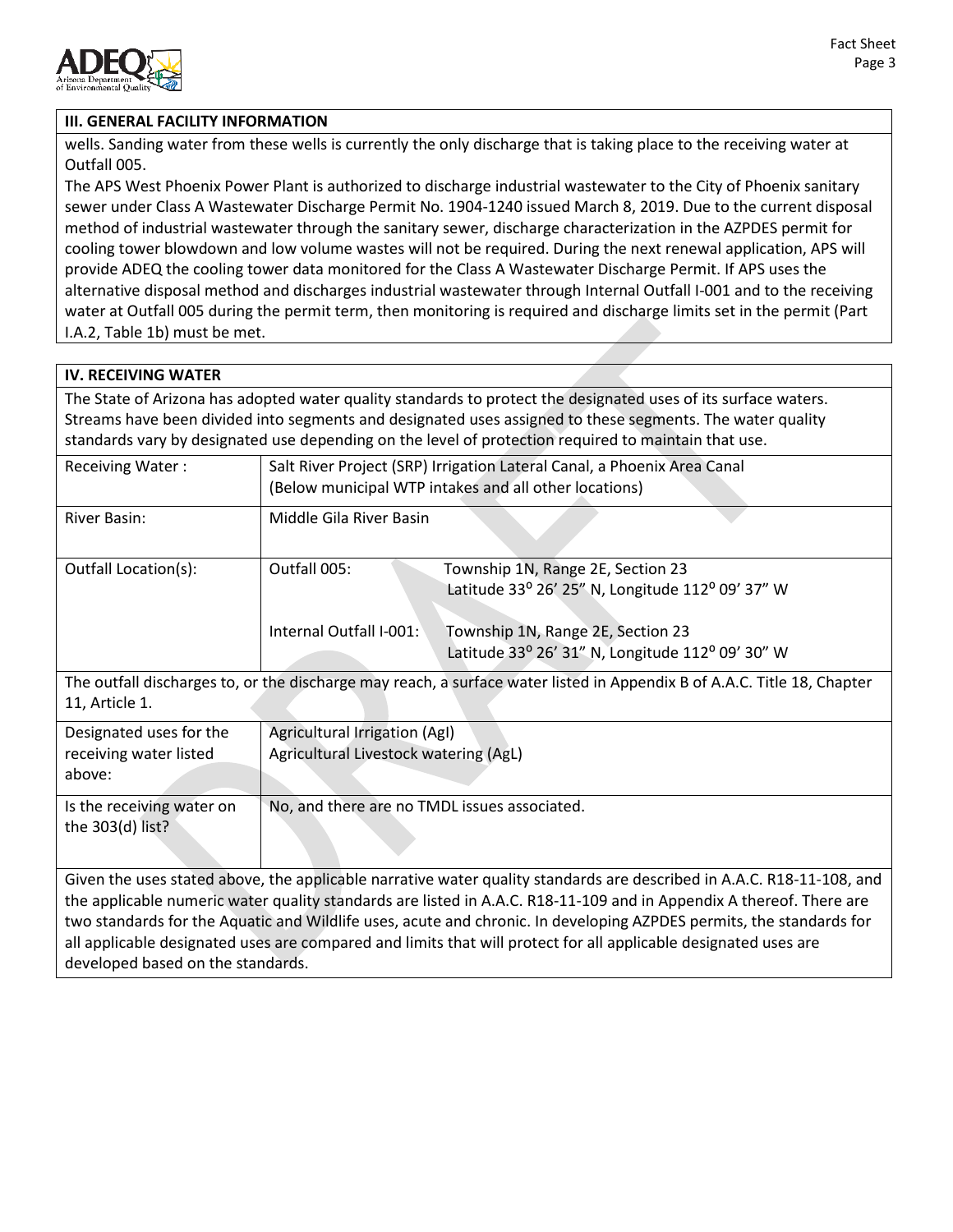

#### **III. GENERAL FACILITY INFORMATION**

wells. Sanding water from these wells is currently the only discharge that is taking place to the receiving water at Outfall 005.

The APS West Phoenix Power Plant is authorized to discharge industrial wastewater to the City of Phoenix sanitary sewer under Class A Wastewater Discharge Permit No. 1904-1240 issued March 8, 2019. Due to the current disposal method of industrial wastewater through the sanitary sewer, discharge characterization in the AZPDES permit for cooling tower blowdown and low volume wastes will not be required. During the next renewal application, APS will provide ADEQ the cooling tower data monitored for the Class A Wastewater Discharge Permit. If APS uses the alternative disposal method and discharges industrial wastewater through Internal Outfall I-001 and to the receiving water at Outfall 005 during the permit term, then monitoring is required and discharge limits set in the permit (Part I.A.2, Table 1b) must be met.

## **IV. RECEIVING WATER** The State of Arizona has adopted water quality standards to protect the designated uses of its surface waters. Streams have been divided into segments and designated uses assigned to these segments. The water quality standards vary by designated use depending on the level of protection required to maintain that use.

| <b>Receiving Water:</b> | Salt River Project (SRP) Irrigation Lateral Canal, a Phoenix Area Canal<br>(Below municipal WTP intakes and all other locations) |                                                                                       |
|-------------------------|----------------------------------------------------------------------------------------------------------------------------------|---------------------------------------------------------------------------------------|
| River Basin:            | Middle Gila River Basin                                                                                                          |                                                                                       |
| Outfall Location(s):    | Outfall 005:<br>Township 1N, Range 2E, Section 23<br>Latitude 33° 26' 25" N, Longitude 112° 09' 37" W                            |                                                                                       |
|                         | Internal Outfall I-001:                                                                                                          | Township 1N, Range 2E, Section 23<br>Latitude 33° 26' 31" N, Longitude 112° 09' 30" W |

The outfall discharges to, or the discharge may reach, a surface water listed in Appendix B of A.A.C. Title 18, Chapter 11, Article 1.

| Designated uses for the<br>receiving water listed<br>above: | Agricultural Irrigation (AgI)<br>Agricultural Livestock watering (AgL) |
|-------------------------------------------------------------|------------------------------------------------------------------------|
| Is the receiving water on<br>the 303(d) list?               | No, and there are no TMDL issues associated.                           |

Given the uses stated above, the applicable narrative water quality standards are described in A.A.C. R18-11-108, and the applicable numeric water quality standards are listed in A.A.C. R18-11-109 and in Appendix A thereof. There are two standards for the Aquatic and Wildlife uses, acute and chronic. In developing AZPDES permits, the standards for all applicable designated uses are compared and limits that will protect for all applicable designated uses are developed based on the standards.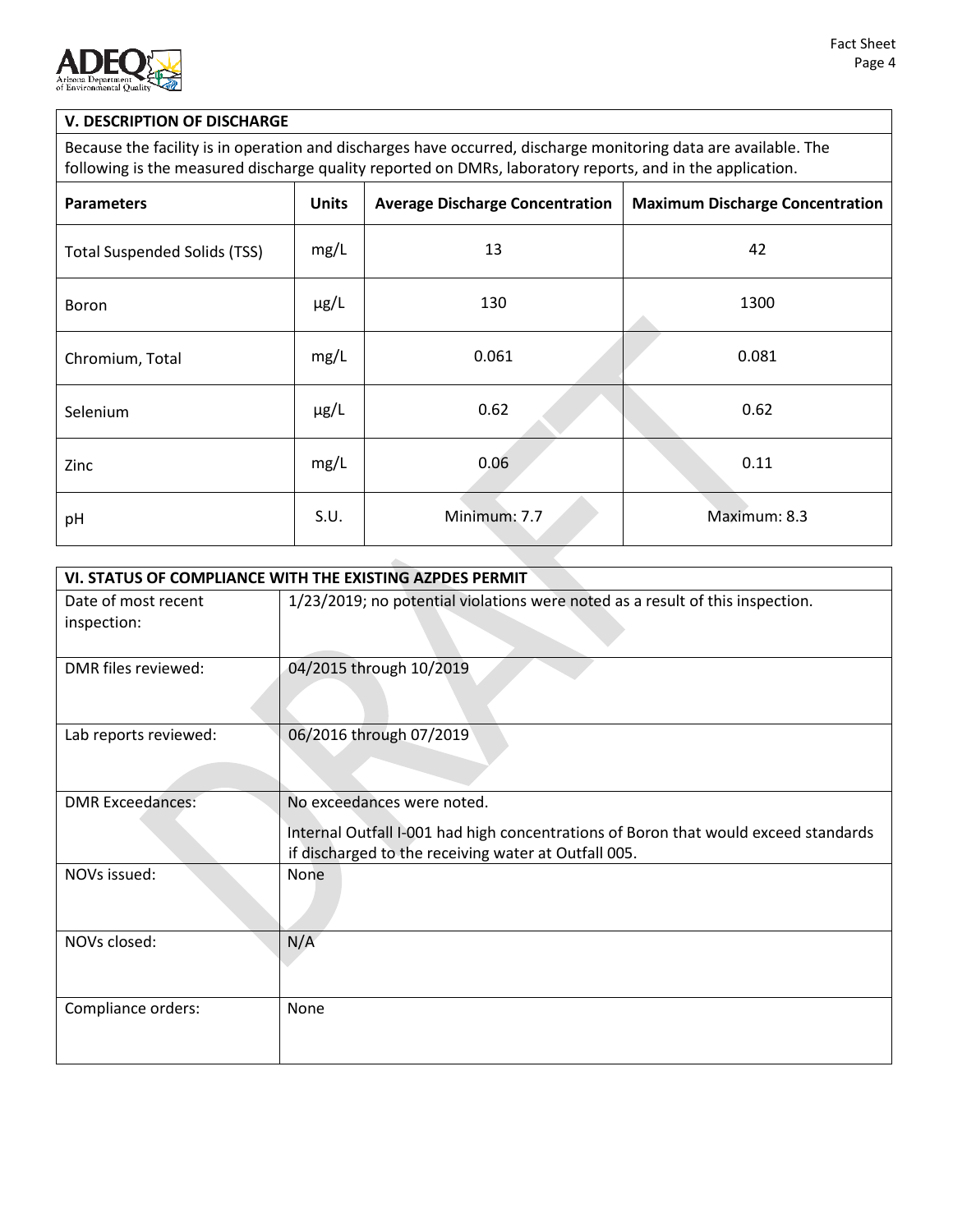

## **V. DESCRIPTION OF DISCHARGE**

Because the facility is in operation and discharges have occurred, discharge monitoring data are available. The following is the measured discharge quality reported on DMRs, laboratory reports, and in the application.

| <b>Parameters</b>                   | <b>Units</b> | <b>Average Discharge Concentration</b> | <b>Maximum Discharge Concentration</b> |
|-------------------------------------|--------------|----------------------------------------|----------------------------------------|
| <b>Total Suspended Solids (TSS)</b> | mg/L         | 13                                     | 42                                     |
| Boron                               | $\mu$ g/L    | 130                                    | 1300                                   |
| Chromium, Total                     | mg/L         | 0.061                                  | 0.081                                  |
| Selenium                            | $\mu$ g/L    | 0.62                                   | 0.62                                   |
| Zinc                                | mg/L         | 0.06                                   | 0.11                                   |
| pH                                  | S.U.         | Minimum: 7.7                           | Maximum: 8.3                           |

| VI. STATUS OF COMPLIANCE WITH THE EXISTING AZPDES PERMIT |                                                                                     |  |  |
|----------------------------------------------------------|-------------------------------------------------------------------------------------|--|--|
| Date of most recent                                      | 1/23/2019; no potential violations were noted as a result of this inspection.       |  |  |
| inspection:                                              |                                                                                     |  |  |
|                                                          |                                                                                     |  |  |
| DMR files reviewed:                                      | 04/2015 through 10/2019                                                             |  |  |
|                                                          |                                                                                     |  |  |
|                                                          |                                                                                     |  |  |
| Lab reports reviewed:                                    | 06/2016 through 07/2019                                                             |  |  |
|                                                          |                                                                                     |  |  |
|                                                          |                                                                                     |  |  |
| <b>DMR Exceedances:</b>                                  | No exceedances were noted.                                                          |  |  |
|                                                          | Internal Outfall I-001 had high concentrations of Boron that would exceed standards |  |  |
|                                                          | if discharged to the receiving water at Outfall 005.                                |  |  |
| NOVs issued:                                             | None                                                                                |  |  |
|                                                          |                                                                                     |  |  |
|                                                          |                                                                                     |  |  |
| NOVs closed:                                             | N/A                                                                                 |  |  |
|                                                          |                                                                                     |  |  |
|                                                          |                                                                                     |  |  |
| Compliance orders:                                       | None                                                                                |  |  |
|                                                          |                                                                                     |  |  |
|                                                          |                                                                                     |  |  |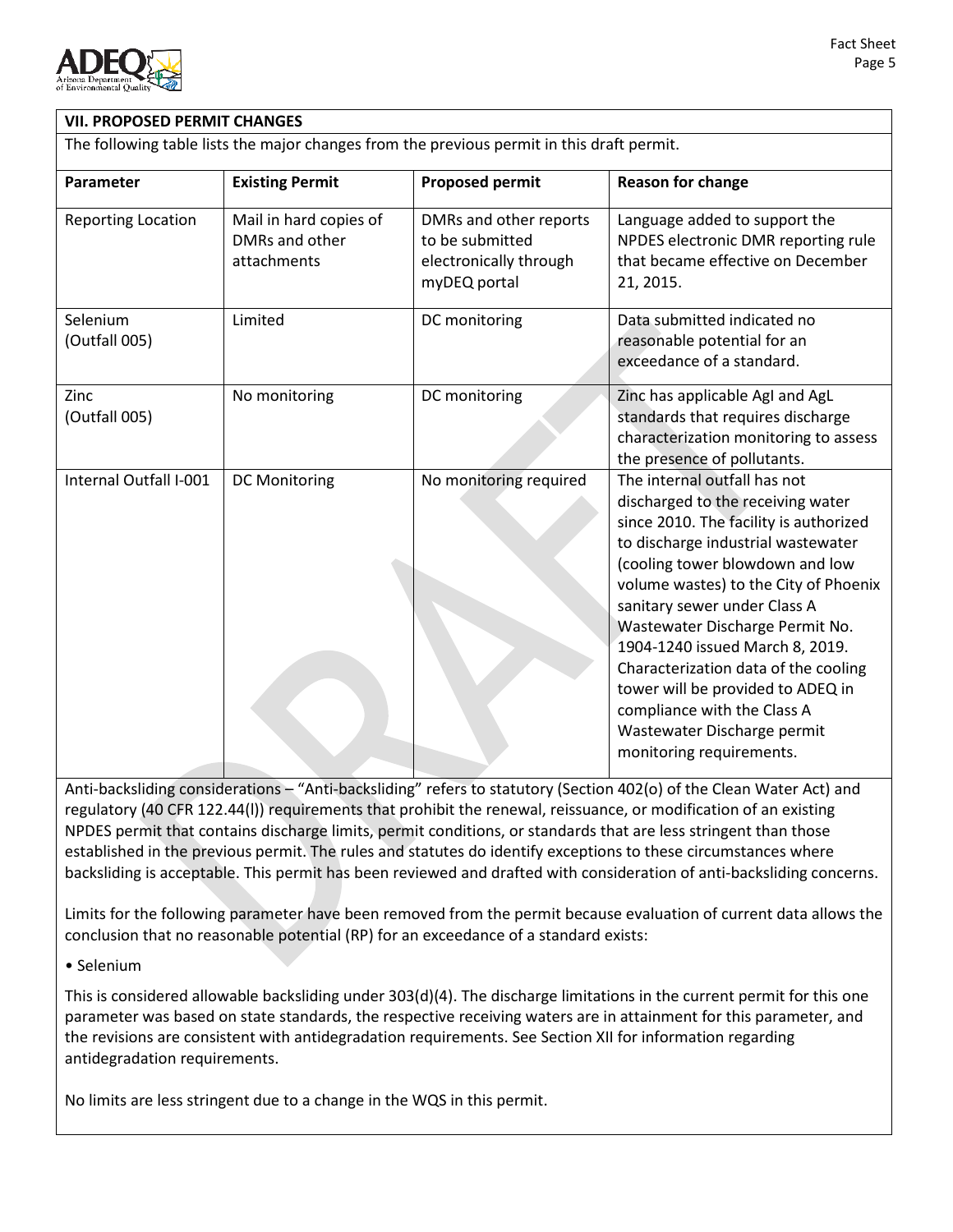

| <b>VII. PROPOSED PERMIT CHANGES</b>                                                        |                                                         |                                                                                     |                                                                                                                                                                                                                                                                                                                                                                                                                                                                                                            |
|--------------------------------------------------------------------------------------------|---------------------------------------------------------|-------------------------------------------------------------------------------------|------------------------------------------------------------------------------------------------------------------------------------------------------------------------------------------------------------------------------------------------------------------------------------------------------------------------------------------------------------------------------------------------------------------------------------------------------------------------------------------------------------|
| The following table lists the major changes from the previous permit in this draft permit. |                                                         |                                                                                     |                                                                                                                                                                                                                                                                                                                                                                                                                                                                                                            |
| Parameter                                                                                  | <b>Existing Permit</b>                                  | <b>Proposed permit</b>                                                              | <b>Reason for change</b>                                                                                                                                                                                                                                                                                                                                                                                                                                                                                   |
| <b>Reporting Location</b>                                                                  | Mail in hard copies of<br>DMRs and other<br>attachments | DMRs and other reports<br>to be submitted<br>electronically through<br>myDEQ portal | Language added to support the<br>NPDES electronic DMR reporting rule<br>that became effective on December<br>21, 2015.                                                                                                                                                                                                                                                                                                                                                                                     |
| Selenium<br>(Outfall 005)                                                                  | Limited                                                 | DC monitoring                                                                       | Data submitted indicated no<br>reasonable potential for an<br>exceedance of a standard.                                                                                                                                                                                                                                                                                                                                                                                                                    |
| Zinc<br>(Outfall 005)                                                                      | No monitoring                                           | DC monitoring                                                                       | Zinc has applicable AgI and AgL<br>standards that requires discharge<br>characterization monitoring to assess<br>the presence of pollutants.                                                                                                                                                                                                                                                                                                                                                               |
| Internal Outfall I-001                                                                     | <b>DC Monitoring</b>                                    | No monitoring required                                                              | The internal outfall has not<br>discharged to the receiving water<br>since 2010. The facility is authorized<br>to discharge industrial wastewater<br>(cooling tower blowdown and low<br>volume wastes) to the City of Phoenix<br>sanitary sewer under Class A<br>Wastewater Discharge Permit No.<br>1904-1240 issued March 8, 2019.<br>Characterization data of the cooling<br>tower will be provided to ADEQ in<br>compliance with the Class A<br>Wastewater Discharge permit<br>monitoring requirements. |

Anti-backsliding considerations – "Anti-backsliding" refers to statutory (Section 402(o) of the Clean Water Act) and regulatory (40 CFR 122.44(l)) requirements that prohibit the renewal, reissuance, or modification of an existing NPDES permit that contains discharge limits, permit conditions, or standards that are less stringent than those established in the previous permit. The rules and statutes do identify exceptions to these circumstances where backsliding is acceptable. This permit has been reviewed and drafted with consideration of anti-backsliding concerns.

Limits for the following parameter have been removed from the permit because evaluation of current data allows the conclusion that no reasonable potential (RP) for an exceedance of a standard exists:

#### • Selenium

This is considered allowable backsliding under 303(d)(4). The discharge limitations in the current permit for this one parameter was based on state standards, the respective receiving waters are in attainment for this parameter, and the revisions are consistent with antidegradation requirements. See Section XII for information regarding antidegradation requirements.

No limits are less stringent due to a change in the WQS in this permit.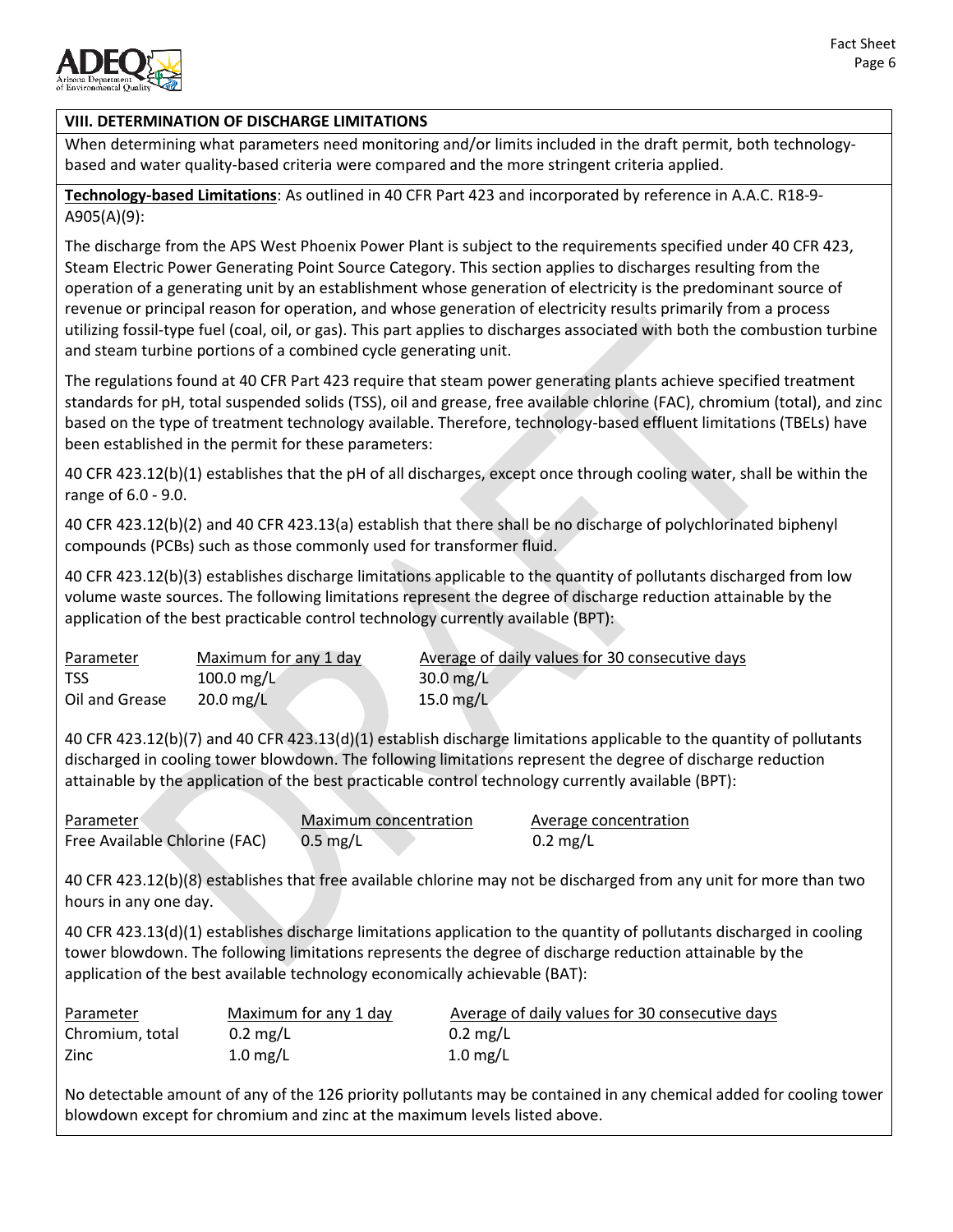

## **VIII. DETERMINATION OF DISCHARGE LIMITATIONS**

When determining what parameters need monitoring and/or limits included in the draft permit, both technologybased and water quality-based criteria were compared and the more stringent criteria applied.

**Technology-based Limitations**: As outlined in 40 CFR Part 423 and incorporated by reference in A.A.C. R18-9- A905(A)(9):

The discharge from the APS West Phoenix Power Plant is subject to the requirements specified under 40 CFR 423, Steam Electric Power Generating Point Source Category. This section applies to discharges resulting from the operation of a generating unit by an establishment whose generation of electricity is the predominant source of revenue or principal reason for operation, and whose generation of electricity results primarily from a process utilizing fossil-type fuel (coal, oil, or gas). This part applies to discharges associated with both the combustion turbine and steam turbine portions of a combined cycle generating unit.

The regulations found at 40 CFR Part 423 require that steam power generating plants achieve specified treatment standards for pH, total suspended solids (TSS), oil and grease, free available chlorine (FAC), chromium (total), and zinc based on the type of treatment technology available. Therefore, technology-based effluent limitations (TBELs) have been established in the permit for these parameters:

40 CFR 423.12(b)(1) establishes that the pH of all discharges, except once through cooling water, shall be within the range of 6.0 - 9.0.

40 CFR 423.12(b)(2) and 40 CFR 423.13(a) establish that there shall be no discharge of polychlorinated biphenyl compounds (PCBs) such as those commonly used for transformer fluid.

40 CFR 423.12(b)(3) establishes discharge limitations applicable to the quantity of pollutants discharged from low volume waste sources. The following limitations represent the degree of discharge reduction attainable by the application of the best practicable control technology currently available (BPT):

| Parameter      | Maximum for any 1 day  | Average of daily values for 30 consecutive days |
|----------------|------------------------|-------------------------------------------------|
| <b>TSS</b>     | 100.0 mg/L             | $30.0 \,\mathrm{mg/L}$                          |
| Oil and Grease | $20.0 \,\mathrm{mg/L}$ | 15.0 mg/L                                       |

40 CFR 423.12(b)(7) and 40 CFR 423.13(d)(1) establish discharge limitations applicable to the quantity of pollutants discharged in cooling tower blowdown. The following limitations represent the degree of discharge reduction attainable by the application of the best practicable control technology currently available (BPT):

| Parameter                     | Maximum concentration | Average concentration |
|-------------------------------|-----------------------|-----------------------|
| Free Available Chlorine (FAC) | $0.5 \text{ mg/L}$    | $0.2 \text{ mg/L}$    |

40 CFR 423.12(b)(8) establishes that free available chlorine may not be discharged from any unit for more than two hours in any one day.

40 CFR 423.13(d)(1) establishes discharge limitations application to the quantity of pollutants discharged in cooling tower blowdown. The following limitations represents the degree of discharge reduction attainable by the application of the best available technology economically achievable (BAT):

| Parameter       | Maximum for any 1 day | Average of daily values for 30 consecutive days |
|-----------------|-----------------------|-------------------------------------------------|
| Chromium, total | $0.2 \text{ mg/L}$    | $0.2 \text{ mg/L}$                              |
| Zinc            | $1.0 \text{ mg/L}$    | $1.0 \text{ mg/L}$                              |

No detectable amount of any of the 126 priority pollutants may be contained in any chemical added for cooling tower blowdown except for chromium and zinc at the maximum levels listed above.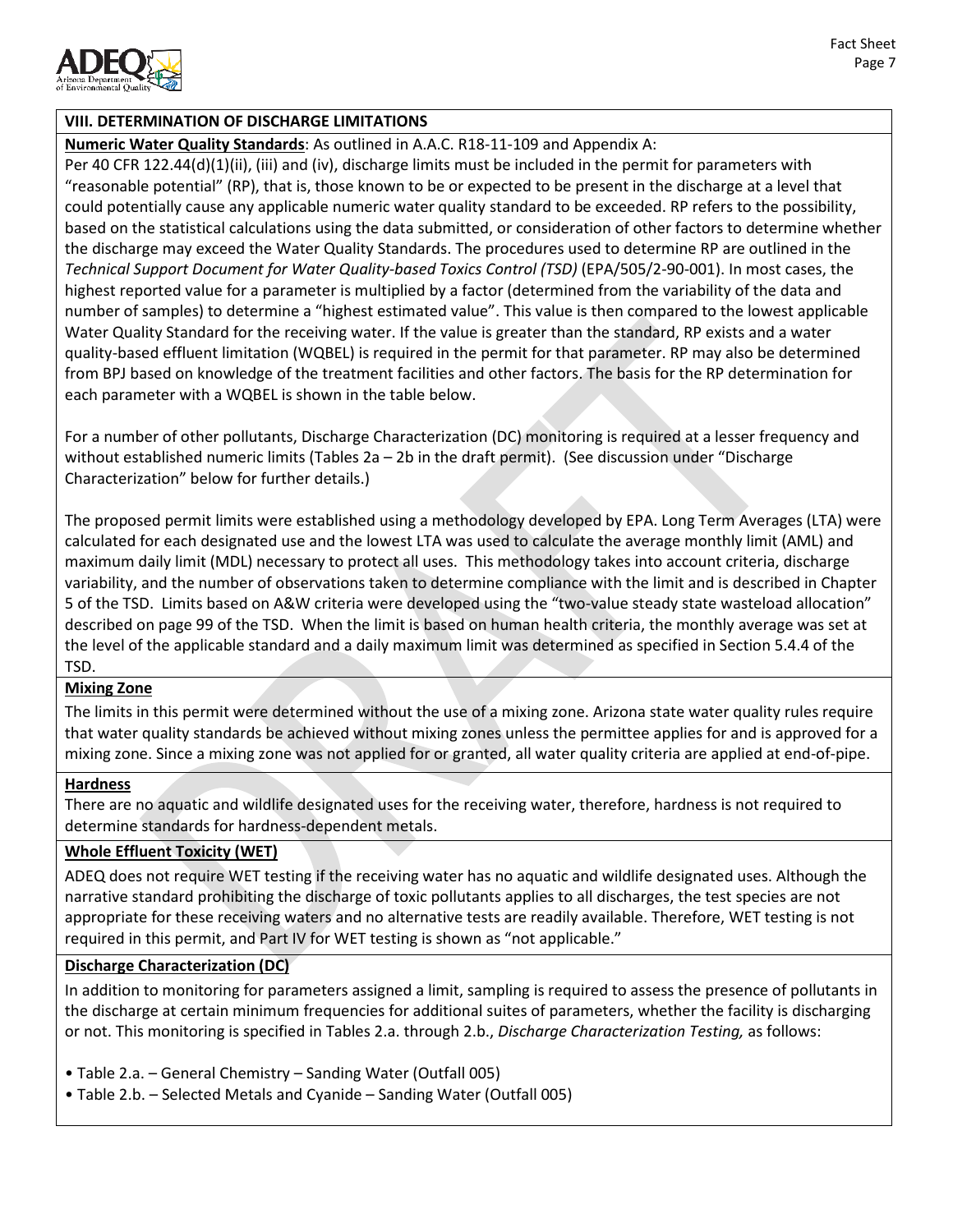

### **VIII. DETERMINATION OF DISCHARGE LIMITATIONS**

**Numeric Water Quality Standards**: As outlined in A.A.C. R18-11-109 and Appendix A:

Per 40 CFR 122.44(d)(1)(ii), (iii) and (iv), discharge limits must be included in the permit for parameters with "reasonable potential" (RP), that is, those known to be or expected to be present in the discharge at a level that could potentially cause any applicable numeric water quality standard to be exceeded. RP refers to the possibility, based on the statistical calculations using the data submitted, or consideration of other factors to determine whether the discharge may exceed the Water Quality Standards. The procedures used to determine RP are outlined in the *Technical Support Document for Water Quality-based Toxics Control (TSD)* (EPA/505/2-90-001). In most cases, the highest reported value for a parameter is multiplied by a factor (determined from the variability of the data and number of samples) to determine a "highest estimated value". This value is then compared to the lowest applicable Water Quality Standard for the receiving water. If the value is greater than the standard, RP exists and a water quality-based effluent limitation (WQBEL) is required in the permit for that parameter. RP may also be determined from BPJ based on knowledge of the treatment facilities and other factors. The basis for the RP determination for each parameter with a WQBEL is shown in the table below.

For a number of other pollutants, Discharge Characterization (DC) monitoring is required at a lesser frequency and without established numeric limits (Tables 2a – 2b in the draft permit). (See discussion under "Discharge Characterization" below for further details.)

The proposed permit limits were established using a methodology developed by EPA. Long Term Averages (LTA) were calculated for each designated use and the lowest LTA was used to calculate the average monthly limit (AML) and maximum daily limit (MDL) necessary to protect all uses. This methodology takes into account criteria, discharge variability, and the number of observations taken to determine compliance with the limit and is described in Chapter 5 of the TSD. Limits based on A&W criteria were developed using the "two-value steady state wasteload allocation" described on page 99 of the TSD. When the limit is based on human health criteria, the monthly average was set at the level of the applicable standard and a daily maximum limit was determined as specified in Section 5.4.4 of the TSD.

#### **Mixing Zone**

The limits in this permit were determined without the use of a mixing zone. Arizona state water quality rules require that water quality standards be achieved without mixing zones unless the permittee applies for and is approved for a mixing zone. Since a mixing zone was not applied for or granted, all water quality criteria are applied at end-of-pipe.

#### **Hardness**

There are no aquatic and wildlife designated uses for the receiving water, therefore, hardness is not required to determine standards for hardness-dependent metals.

#### **Whole Effluent Toxicity (WET)**

ADEQ does not require WET testing if the receiving water has no aquatic and wildlife designated uses. Although the narrative standard prohibiting the discharge of toxic pollutants applies to all discharges, the test species are not appropriate for these receiving waters and no alternative tests are readily available. Therefore, WET testing is not required in this permit, and Part IV for WET testing is shown as "not applicable."

#### **Discharge Characterization (DC)**

In addition to monitoring for parameters assigned a limit, sampling is required to assess the presence of pollutants in the discharge at certain minimum frequencies for additional suites of parameters, whether the facility is discharging or not. This monitoring is specified in Tables 2.a. through 2.b., *Discharge Characterization Testing,* as follows:

- Table 2.a. General Chemistry Sanding Water (Outfall 005)
- Table 2.b. Selected Metals and Cyanide Sanding Water (Outfall 005)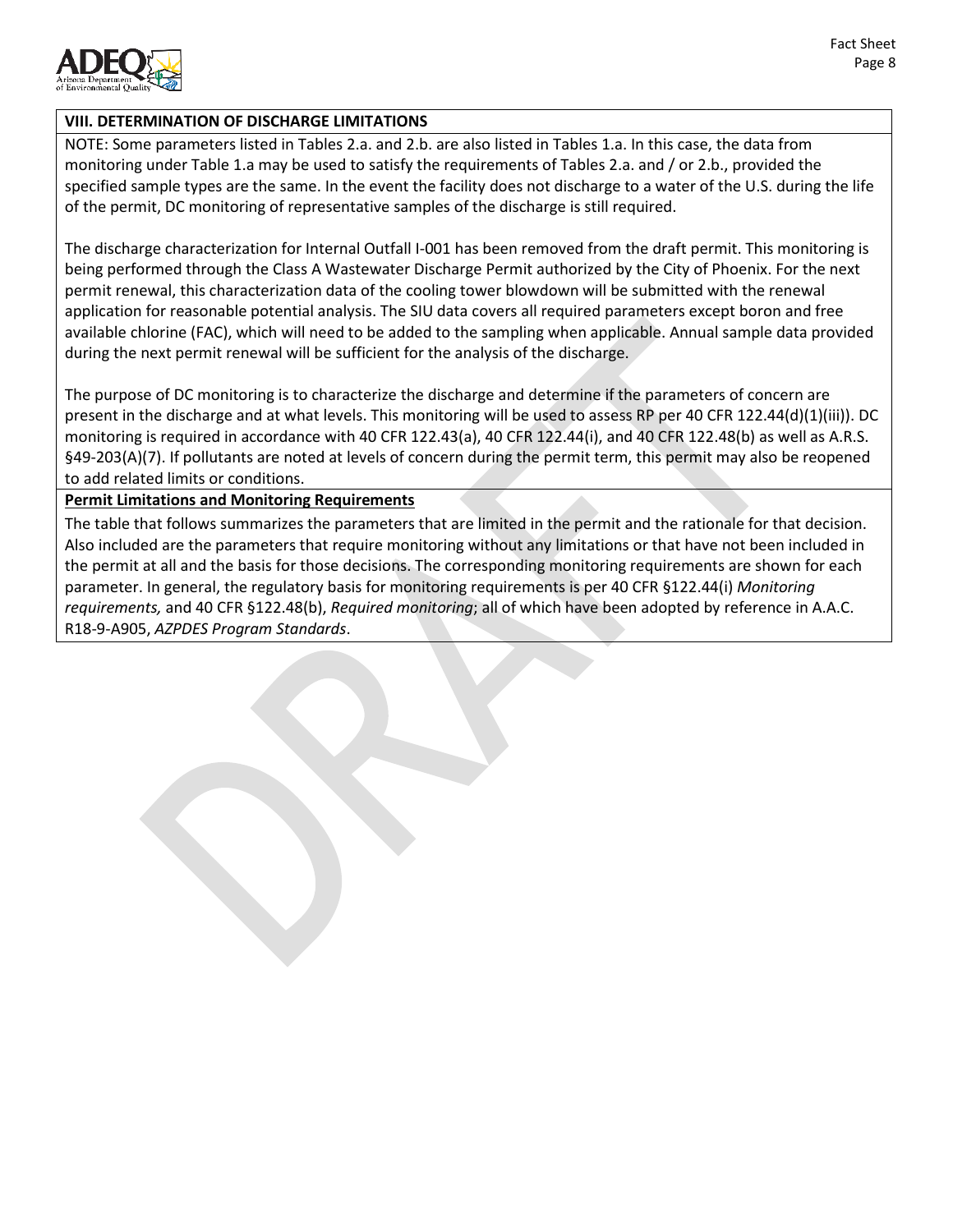

## **VIII. DETERMINATION OF DISCHARGE LIMITATIONS**

NOTE: Some parameters listed in Tables 2.a. and 2.b. are also listed in Tables 1.a. In this case, the data from monitoring under Table 1.a may be used to satisfy the requirements of Tables 2.a. and / or 2.b., provided the specified sample types are the same. In the event the facility does not discharge to a water of the U.S. during the life of the permit, DC monitoring of representative samples of the discharge is still required.

The discharge characterization for Internal Outfall I-001 has been removed from the draft permit. This monitoring is being performed through the Class A Wastewater Discharge Permit authorized by the City of Phoenix. For the next permit renewal, this characterization data of the cooling tower blowdown will be submitted with the renewal application for reasonable potential analysis. The SIU data covers all required parameters except boron and free available chlorine (FAC), which will need to be added to the sampling when applicable. Annual sample data provided during the next permit renewal will be sufficient for the analysis of the discharge.

The purpose of DC monitoring is to characterize the discharge and determine if the parameters of concern are present in the discharge and at what levels. This monitoring will be used to assess RP per 40 CFR 122.44(d)(1)(iii)). DC monitoring is required in accordance with 40 CFR 122.43(a), 40 CFR 122.44(i), and 40 CFR 122.48(b) as well as A.R.S. §49-203(A)(7). If pollutants are noted at levels of concern during the permit term, this permit may also be reopened to add related limits or conditions.

**Permit Limitations and Monitoring Requirements**

The table that follows summarizes the parameters that are limited in the permit and the rationale for that decision. Also included are the parameters that require monitoring without any limitations or that have not been included in the permit at all and the basis for those decisions. The corresponding monitoring requirements are shown for each parameter. In general, the regulatory basis for monitoring requirements is per 40 CFR §122.44(i) *Monitoring requirements,* and 40 CFR §122.48(b), *Required monitoring*; all of which have been adopted by reference in A.A.C. R18-9-A905, *AZPDES Program Standards*.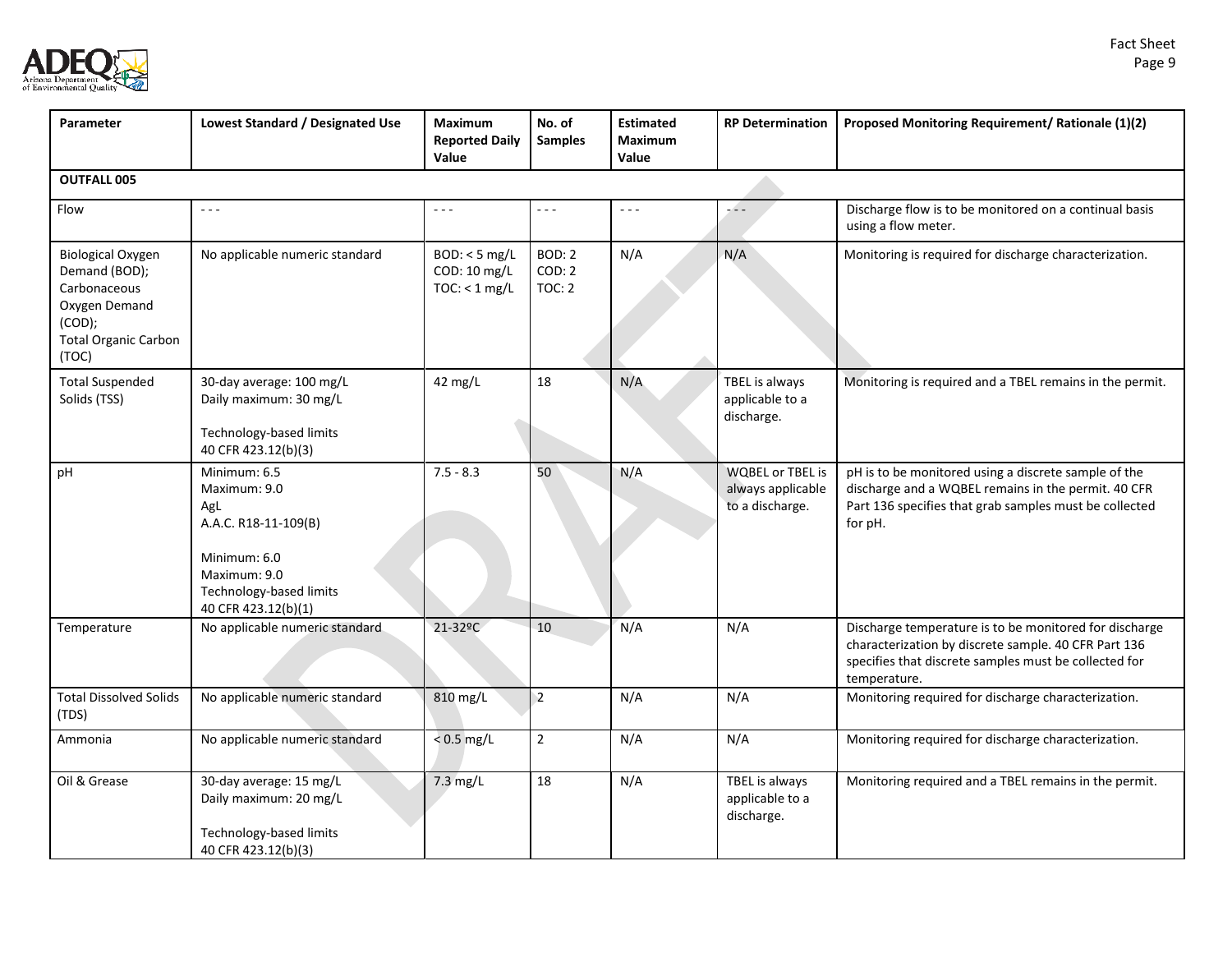



| Parameter                                                                                                                    | Lowest Standard / Designated Use                                                                                                              | Maximum<br><b>Reported Daily</b><br>Value        | No. of<br><b>Samples</b>                 | <b>Estimated</b><br><b>Maximum</b><br>Value | <b>RP Determination</b>                                         | Proposed Monitoring Requirement/ Rationale (1)(2)                                                                                                                                       |  |  |
|------------------------------------------------------------------------------------------------------------------------------|-----------------------------------------------------------------------------------------------------------------------------------------------|--------------------------------------------------|------------------------------------------|---------------------------------------------|-----------------------------------------------------------------|-----------------------------------------------------------------------------------------------------------------------------------------------------------------------------------------|--|--|
| <b>OUTFALL 005</b>                                                                                                           |                                                                                                                                               |                                                  |                                          |                                             |                                                                 |                                                                                                                                                                                         |  |  |
| Flow                                                                                                                         | $- - -$                                                                                                                                       | $\omega \sim \omega$                             | - - -                                    | $\omega_{\rm{eff}}$ and $\omega_{\rm{eff}}$ | -44                                                             | Discharge flow is to be monitored on a continual basis<br>using a flow meter.                                                                                                           |  |  |
| <b>Biological Oxygen</b><br>Demand (BOD);<br>Carbonaceous<br>Oxygen Demand<br>(COD);<br><b>Total Organic Carbon</b><br>(TOC) | No applicable numeric standard                                                                                                                | $BOD: < 5$ mg/L<br>COD: 10 mg/L<br>TOC: < 1 mg/L | <b>BOD: 2</b><br>COD: 2<br><b>TOC: 2</b> | N/A                                         | N/A                                                             | Monitoring is required for discharge characterization.                                                                                                                                  |  |  |
| <b>Total Suspended</b><br>Solids (TSS)                                                                                       | 30-day average: 100 mg/L<br>Daily maximum: 30 mg/L<br>Technology-based limits<br>40 CFR 423.12(b)(3)                                          | 42 mg/L                                          | 18                                       | N/A                                         | TBEL is always<br>applicable to a<br>discharge.                 | Monitoring is required and a TBEL remains in the permit.                                                                                                                                |  |  |
| pH                                                                                                                           | Minimum: 6.5<br>Maximum: 9.0<br>AgL<br>A.A.C. R18-11-109(B)<br>Minimum: 6.0<br>Maximum: 9.0<br>Technology-based limits<br>40 CFR 423.12(b)(1) | $7.5 - 8.3$                                      | 50                                       | N/A                                         | <b>WQBEL or TBEL is</b><br>always applicable<br>to a discharge. | pH is to be monitored using a discrete sample of the<br>discharge and a WQBEL remains in the permit. 40 CFR<br>Part 136 specifies that grab samples must be collected<br>for pH.        |  |  |
| Temperature                                                                                                                  | No applicable numeric standard                                                                                                                | 21-32°C                                          | 10                                       | N/A                                         | N/A                                                             | Discharge temperature is to be monitored for discharge<br>characterization by discrete sample. 40 CFR Part 136<br>specifies that discrete samples must be collected for<br>temperature. |  |  |
| <b>Total Dissolved Solids</b><br>(TDS)                                                                                       | No applicable numeric standard                                                                                                                | 810 mg/L                                         | $\overline{2}$                           | N/A                                         | N/A                                                             | Monitoring required for discharge characterization.                                                                                                                                     |  |  |
| Ammonia                                                                                                                      | No applicable numeric standard                                                                                                                | $< 0.5$ mg/L                                     | $\overline{2}$                           | N/A                                         | N/A                                                             | Monitoring required for discharge characterization.                                                                                                                                     |  |  |
| Oil & Grease                                                                                                                 | 30-day average: 15 mg/L<br>Daily maximum: 20 mg/L<br>Technology-based limits<br>40 CFR 423.12(b)(3)                                           | 7.3 mg/L                                         | 18                                       | N/A                                         | TBEL is always<br>applicable to a<br>discharge.                 | Monitoring required and a TBEL remains in the permit.                                                                                                                                   |  |  |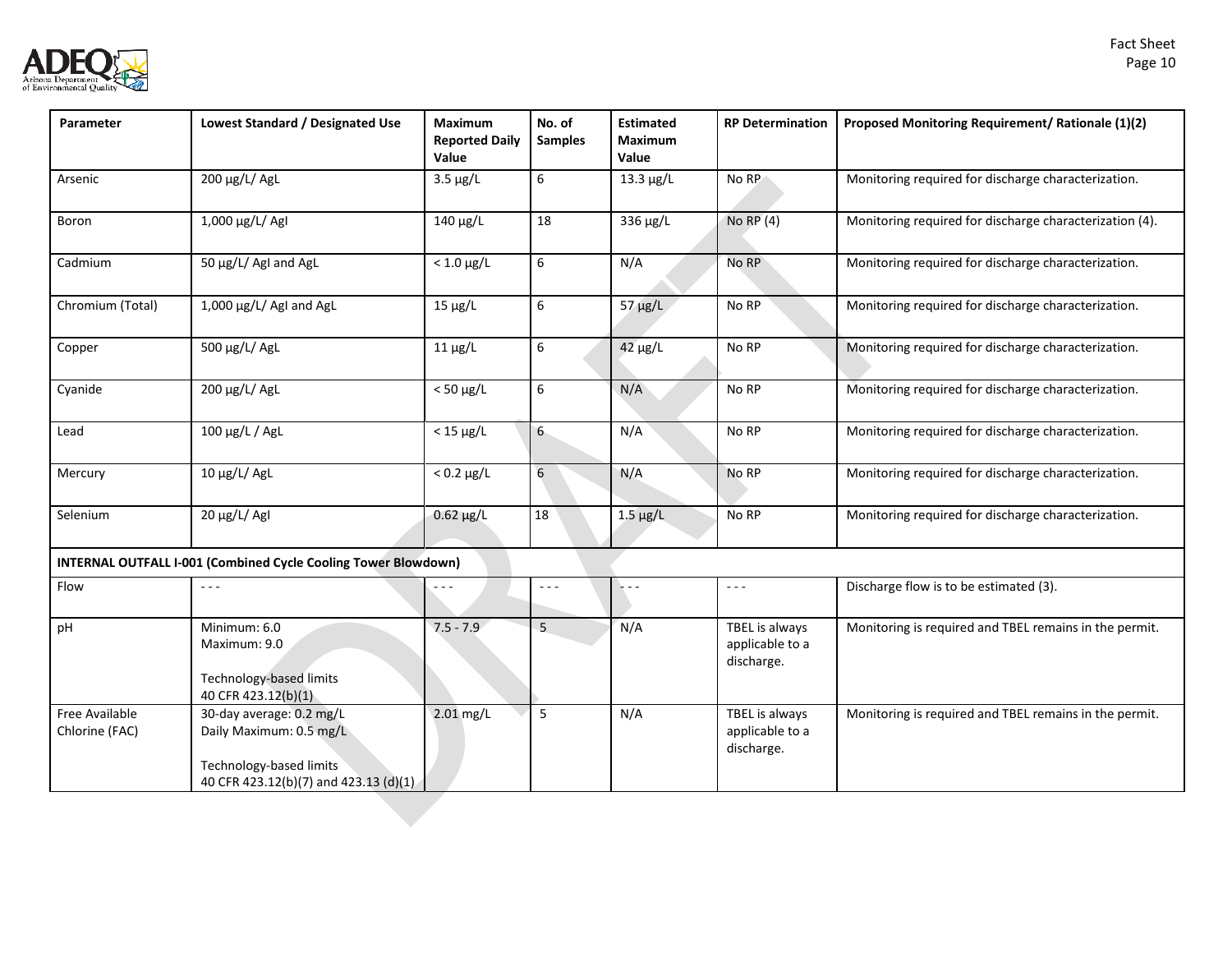| Fact Sheet |
|------------|
| Page 10    |



| Parameter                        | Lowest Standard / Designated Use                                                                                        | Maximum<br><b>Reported Daily</b><br>Value | No. of<br><b>Samples</b> | <b>Estimated</b><br>Maximum<br>Value | <b>RP Determination</b>                         | Proposed Monitoring Requirement/ Rationale (1)(2)       |
|----------------------------------|-------------------------------------------------------------------------------------------------------------------------|-------------------------------------------|--------------------------|--------------------------------------|-------------------------------------------------|---------------------------------------------------------|
| Arsenic                          | 200 μg/L/ AgL                                                                                                           | $3.5 \mu g/L$                             | 6                        | $13.3 \mu g/L$                       | No RP                                           | Monitoring required for discharge characterization.     |
| Boron                            | 1,000 µg/L/ AgI                                                                                                         | $140 \mu g/L$                             | 18                       | 336 µg/L                             | No RP $(4)$                                     | Monitoring required for discharge characterization (4). |
| Cadmium                          | 50 µg/L/ AgI and AgL                                                                                                    | $< 1.0 \mu g/L$                           | 6                        | N/A                                  | No RP                                           | Monitoring required for discharge characterization.     |
| Chromium (Total)                 | 1,000 µg/L/ AgI and AgL                                                                                                 | $15 \mu g/L$                              | 6                        | $57 \mu g/L$                         | No RP                                           | Monitoring required for discharge characterization.     |
| Copper                           | 500 μg/L/ AgL                                                                                                           | $11 \mu g/L$                              | 6                        | $42 \mu g/L$                         | No RP                                           | Monitoring required for discharge characterization.     |
| Cyanide                          | 200 µg/L/ AgL                                                                                                           | $< 50 \mu g/L$                            | 6                        | N/A                                  | No RP                                           | Monitoring required for discharge characterization.     |
| Lead                             | 100 μg/L / AgL                                                                                                          | $<$ 15 $\mu$ g/L                          | $6 -$                    | N/A                                  | No RP                                           | Monitoring required for discharge characterization.     |
| Mercury                          | $10 \mu g/L$ / AgL                                                                                                      | $< 0.2 \mu g/L$                           | 6                        | N/A                                  | No RP                                           | Monitoring required for discharge characterization.     |
| Selenium                         | 20 μg/L/ AgI                                                                                                            | $0.62 \mu g/L$                            | 18                       | $1.5 \mu g/L$                        | No RP                                           | Monitoring required for discharge characterization.     |
|                                  | <b>INTERNAL OUTFALL I-001 (Combined Cycle Cooling Tower Blowdown)</b>                                                   |                                           |                          |                                      |                                                 |                                                         |
| Flow                             | $  -$                                                                                                                   |                                           | $- - -$                  | .                                    | $\omega = \omega$                               | Discharge flow is to be estimated (3).                  |
| pH                               | Minimum: 6.0<br>Maximum: 9.0<br>Technology-based limits<br>40 CFR 423.12(b)(1)                                          | $7.5 - 7.9$                               | 5                        | N/A                                  | TBEL is always<br>applicable to a<br>discharge. | Monitoring is required and TBEL remains in the permit.  |
| Free Available<br>Chlorine (FAC) | 30-day average: 0.2 mg/L<br>Daily Maximum: 0.5 mg/L<br>Technology-based limits<br>40 CFR 423.12(b)(7) and 423.13 (d)(1) | $2.01$ mg/L                               | 5                        | N/A                                  | TBEL is always<br>applicable to a<br>discharge. | Monitoring is required and TBEL remains in the permit.  |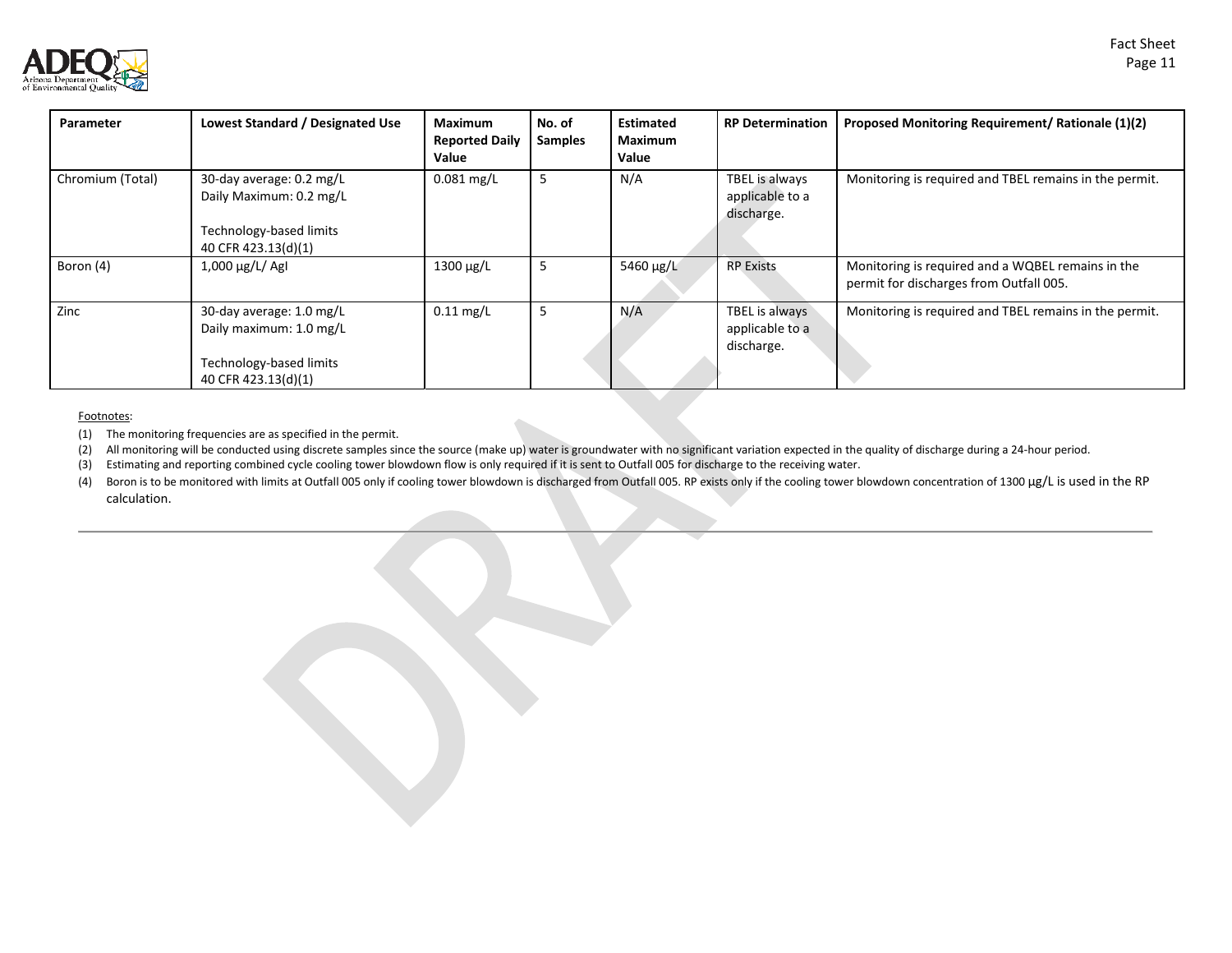



| Parameter        | Lowest Standard / Designated Use                                                                      | <b>Maximum</b><br><b>Reported Daily</b><br>Value | No. of<br><b>Samples</b> | <b>Estimated</b><br>Maximum<br>Value | <b>RP Determination</b>                         | Proposed Monitoring Requirement/ Rationale (1)(2)                                            |
|------------------|-------------------------------------------------------------------------------------------------------|--------------------------------------------------|--------------------------|--------------------------------------|-------------------------------------------------|----------------------------------------------------------------------------------------------|
| Chromium (Total) | 30-day average: 0.2 mg/L<br>Daily Maximum: 0.2 mg/L<br>Technology-based limits<br>40 CFR 423.13(d)(1) | $0.081$ mg/L                                     | -5                       | N/A                                  | TBEL is always<br>applicable to a<br>discharge. | Monitoring is required and TBEL remains in the permit.                                       |
| Boron (4)        | $1,000 \,\mu g/L/$ AgI                                                                                | $1300 \mu g/L$                                   | 5                        | 5460 µg/L                            | <b>RP Exists</b>                                | Monitoring is required and a WQBEL remains in the<br>permit for discharges from Outfall 005. |
| Zinc             | 30-day average: 1.0 mg/L<br>Daily maximum: 1.0 mg/L<br>Technology-based limits<br>40 CFR 423.13(d)(1) | $0.11$ mg/L                                      | 5                        | N/A                                  | TBEL is always<br>applicable to a<br>discharge. | Monitoring is required and TBEL remains in the permit.                                       |

#### Footnotes:

(1) The monitoring frequencies are as specified in the permit.

(2) All monitoring will be conducted using discrete samples since the source (make up) water is groundwater with no significant variation expected in the quality of discharge during a 24-hour period.

(3) Estimating and reporting combined cycle cooling tower blowdown flow is only required if it is sent to Outfall 005 for discharge to the receiving water.

(4) Boron is to be monitored with limits at Outfall 005 only if cooling tower blowdown is discharged from Outfall 005. RP exists only if the cooling tower blowdown concentration of 1300 µg/L is used in the RP calculation.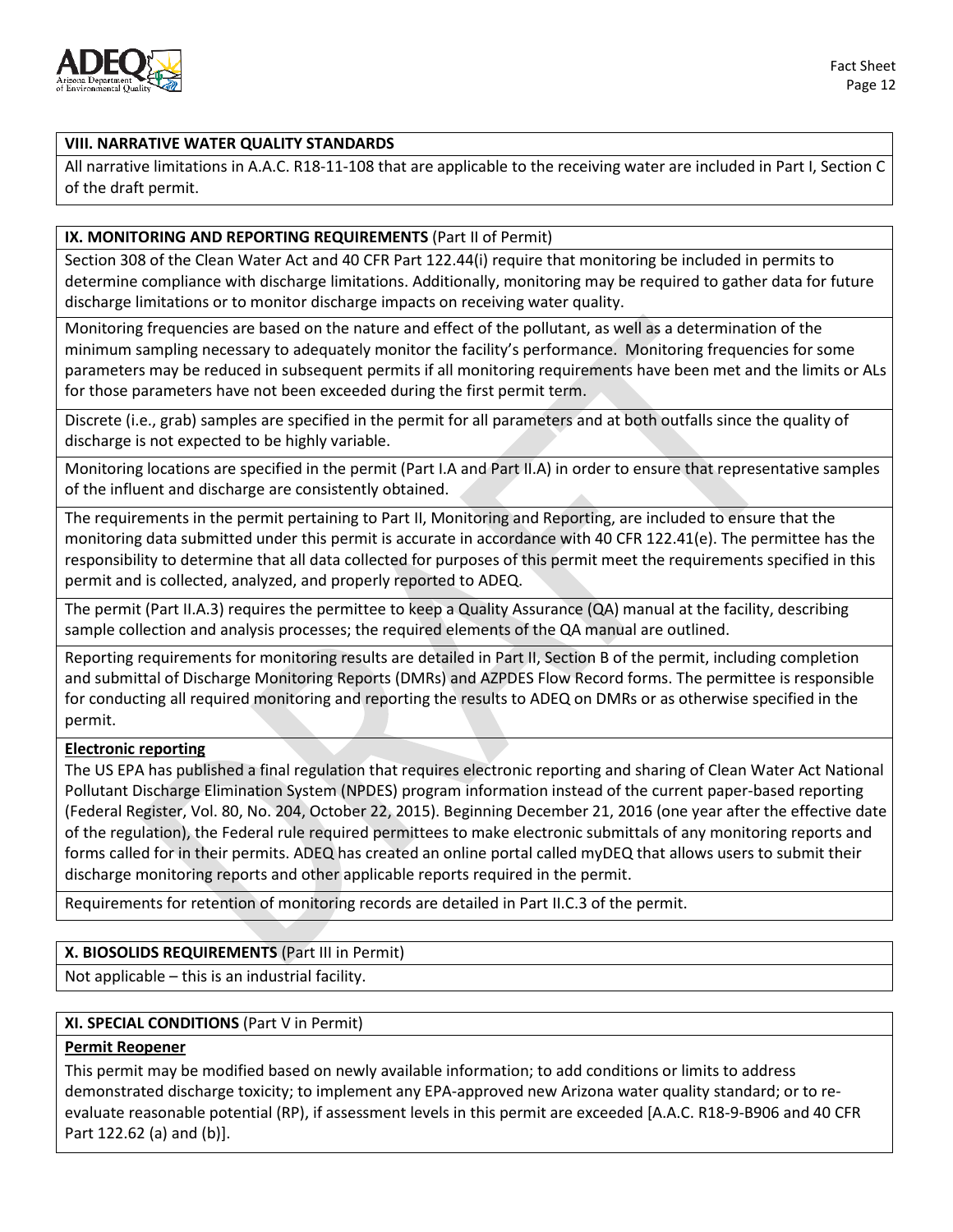

#### **VIII. NARRATIVE WATER QUALITY STANDARDS**

All narrative limitations in A.A.C. R18-11-108 that are applicable to the receiving water are included in Part I, Section C of the draft permit.

#### **IX. MONITORING AND REPORTING REQUIREMENTS** (Part II of Permit)

Section 308 of the Clean Water Act and 40 CFR Part 122.44(i) require that monitoring be included in permits to determine compliance with discharge limitations. Additionally, monitoring may be required to gather data for future discharge limitations or to monitor discharge impacts on receiving water quality.

Monitoring frequencies are based on the nature and effect of the pollutant, as well as a determination of the minimum sampling necessary to adequately monitor the facility's performance. Monitoring frequencies for some parameters may be reduced in subsequent permits if all monitoring requirements have been met and the limits or ALs for those parameters have not been exceeded during the first permit term.

Discrete (i.e., grab) samples are specified in the permit for all parameters and at both outfalls since the quality of discharge is not expected to be highly variable.

Monitoring locations are specified in the permit (Part I.A and Part II.A) in order to ensure that representative samples of the influent and discharge are consistently obtained.

The requirements in the permit pertaining to Part II, Monitoring and Reporting, are included to ensure that the monitoring data submitted under this permit is accurate in accordance with 40 CFR 122.41(e). The permittee has the responsibility to determine that all data collected for purposes of this permit meet the requirements specified in this permit and is collected, analyzed, and properly reported to ADEQ.

The permit (Part II.A.3) requires the permittee to keep a Quality Assurance (QA) manual at the facility, describing sample collection and analysis processes; the required elements of the QA manual are outlined.

Reporting requirements for monitoring results are detailed in Part II, Section B of the permit, including completion and submittal of Discharge Monitoring Reports (DMRs) and AZPDES Flow Record forms. The permittee is responsible for conducting all required monitoring and reporting the results to ADEQ on DMRs or as otherwise specified in the permit.

#### **Electronic reporting**

The US EPA has published a final regulation that requires electronic reporting and sharing of Clean Water Act National Pollutant Discharge Elimination System (NPDES) program information instead of the current paper-based reporting (Federal Register, Vol. 80, No. 204, October 22, 2015). Beginning December 21, 2016 (one year after the effective date of the regulation), the Federal rule required permittees to make electronic submittals of any monitoring reports and forms called for in their permits. ADEQ has created an online portal called myDEQ that allows users to submit their discharge monitoring reports and other applicable reports required in the permit.

Requirements for retention of monitoring records are detailed in Part II.C.3 of the permit.

#### **X. BIOSOLIDS REQUIREMENTS** (Part III in Permit)

Not applicable – this is an industrial facility.

#### **XI. SPECIAL CONDITIONS** (Part V in Permit)

#### **Permit Reopener**

This permit may be modified based on newly available information; to add conditions or limits to address demonstrated discharge toxicity; to implement any EPA-approved new Arizona water quality standard; or to reevaluate reasonable potential (RP), if assessment levels in this permit are exceeded [A.A.C. R18-9-B906 and 40 CFR Part 122.62 (a) and (b)].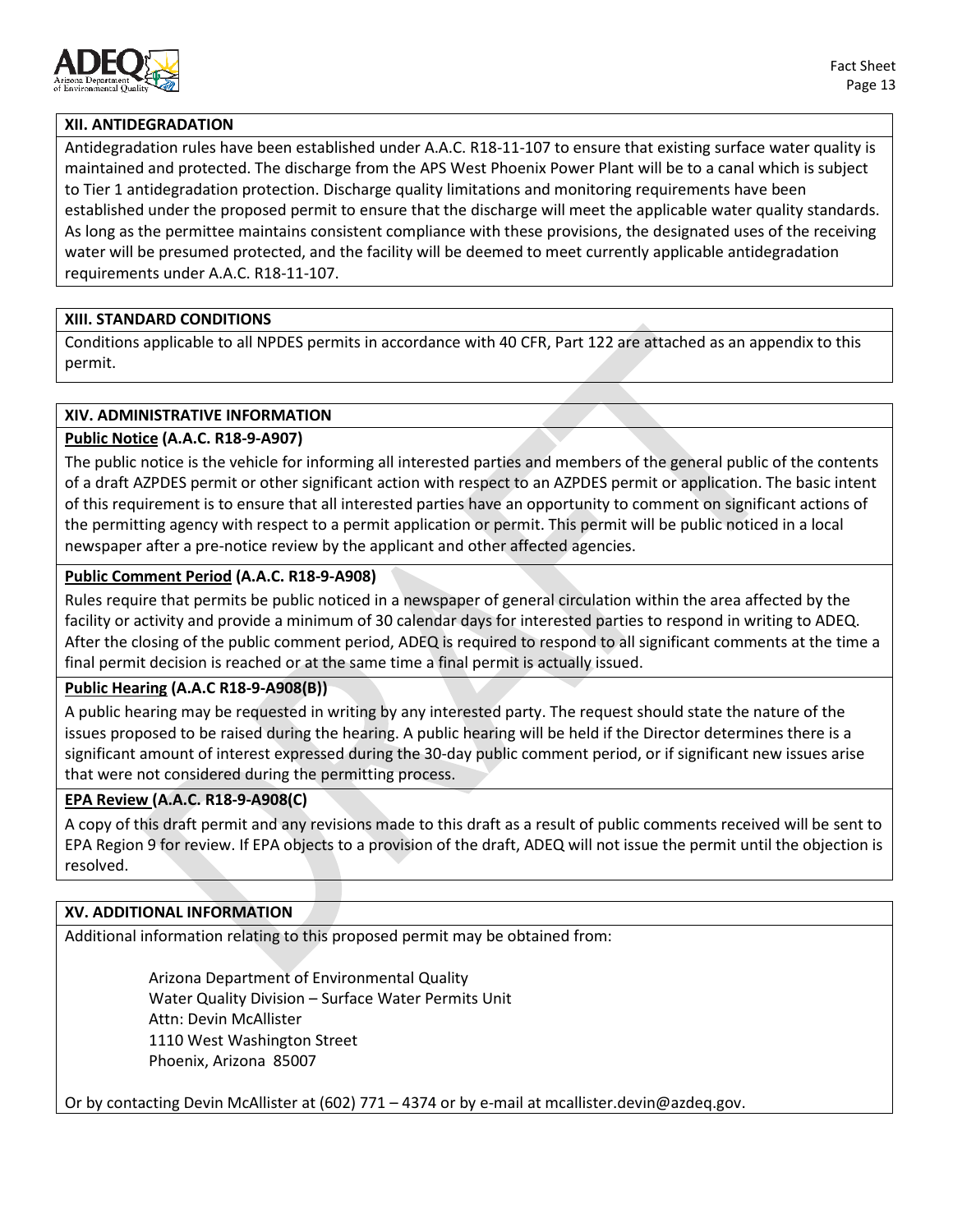

### **XII. ANTIDEGRADATION**

Antidegradation rules have been established under A.A.C. R18-11-107 to ensure that existing surface water quality is maintained and protected. The discharge from the APS West Phoenix Power Plant will be to a canal which is subject to Tier 1 antidegradation protection. Discharge quality limitations and monitoring requirements have been established under the proposed permit to ensure that the discharge will meet the applicable water quality standards. As long as the permittee maintains consistent compliance with these provisions, the designated uses of the receiving water will be presumed protected, and the facility will be deemed to meet currently applicable antidegradation requirements under A.A.C. R18-11-107.

### **XIII. STANDARD CONDITIONS**

Conditions applicable to all NPDES permits in accordance with 40 CFR, Part 122 are attached as an appendix to this permit.

#### **XIV. ADMINISTRATIVE INFORMATION**

### **Public Notice (A.A.C. R18-9-A907)**

The public notice is the vehicle for informing all interested parties and members of the general public of the contents of a draft AZPDES permit or other significant action with respect to an AZPDES permit or application. The basic intent of this requirement is to ensure that all interested parties have an opportunity to comment on significant actions of the permitting agency with respect to a permit application or permit. This permit will be public noticed in a local newspaper after a pre-notice review by the applicant and other affected agencies.

#### **Public Comment Period (A.A.C. R18-9-A908)**

Rules require that permits be public noticed in a newspaper of general circulation within the area affected by the facility or activity and provide a minimum of 30 calendar days for interested parties to respond in writing to ADEQ. After the closing of the public comment period, ADEQ is required to respond to all significant comments at the time a final permit decision is reached or at the same time a final permit is actually issued.

#### **Public Hearing (A.A.C R18-9-A908(B))**

A public hearing may be requested in writing by any interested party. The request should state the nature of the issues proposed to be raised during the hearing. A public hearing will be held if the Director determines there is a significant amount of interest expressed during the 30-day public comment period, or if significant new issues arise that were not considered during the permitting process.

#### **EPA Review (A.A.C. R18-9-A908(C)**

A copy of this draft permit and any revisions made to this draft as a result of public comments received will be sent to EPA Region 9 for review. If EPA objects to a provision of the draft, ADEQ will not issue the permit until the objection is resolved.

#### **XV. ADDITIONAL INFORMATION**

Additional information relating to this proposed permit may be obtained from:

Arizona Department of Environmental Quality Water Quality Division – Surface Water Permits Unit Attn: Devin McAllister 1110 West Washington Street Phoenix, Arizona 85007

Or by contacting Devin McAllister at (602) 771 – 4374 or by e-mail at [mcallister.devin@azdeq.gov.](mailto:mcallister.devin@azdeq.gov)